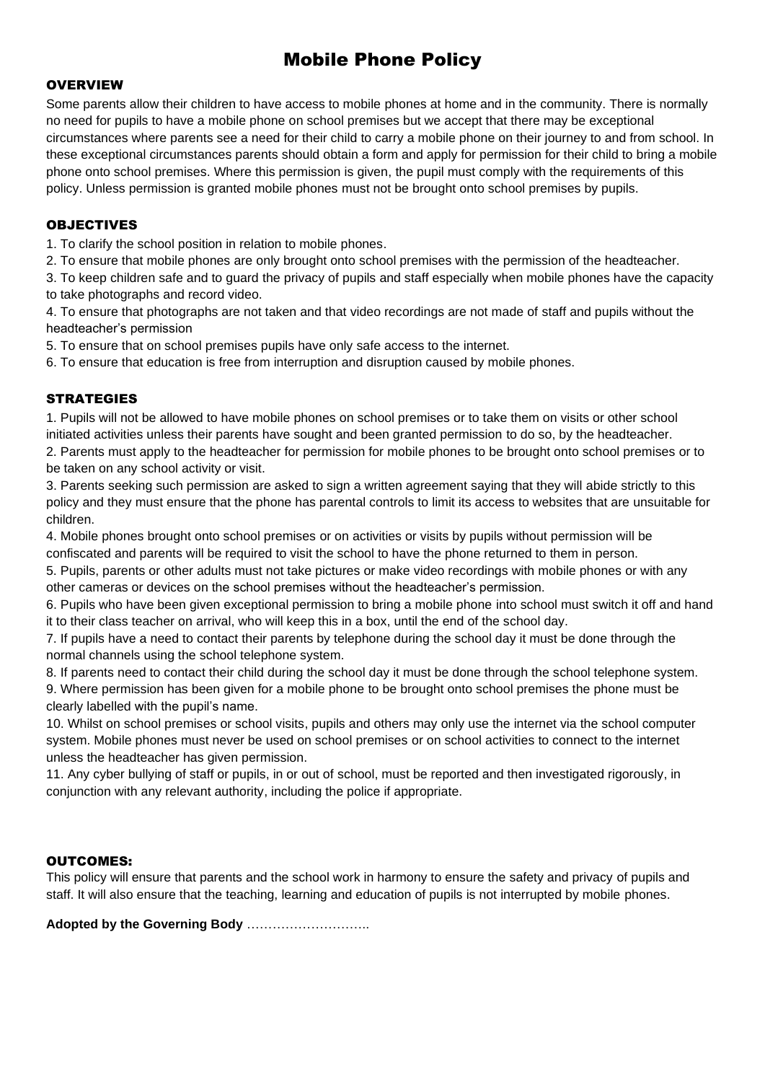# Mobile Phone Policy

#### **OVERVIEW**

Some parents allow their children to have access to mobile phones at home and in the community. There is normally no need for pupils to have a mobile phone on school premises but we accept that there may be exceptional circumstances where parents see a need for their child to carry a mobile phone on their journey to and from school. In these exceptional circumstances parents should obtain a form and apply for permission for their child to bring a mobile phone onto school premises. Where this permission is given, the pupil must comply with the requirements of this policy. Unless permission is granted mobile phones must not be brought onto school premises by pupils.

#### OBJECTIVES

1. To clarify the school position in relation to mobile phones.

2. To ensure that mobile phones are only brought onto school premises with the permission of the headteacher.

3. To keep children safe and to guard the privacy of pupils and staff especially when mobile phones have the capacity to take photographs and record video.

4. To ensure that photographs are not taken and that video recordings are not made of staff and pupils without the headteacher's permission

5. To ensure that on school premises pupils have only safe access to the internet.

6. To ensure that education is free from interruption and disruption caused by mobile phones.

## **STRATEGIES**

1. Pupils will not be allowed to have mobile phones on school premises or to take them on visits or other school initiated activities unless their parents have sought and been granted permission to do so, by the headteacher. 2. Parents must apply to the headteacher for permission for mobile phones to be brought onto school premises or to be taken on any school activity or visit.

3. Parents seeking such permission are asked to sign a written agreement saying that they will abide strictly to this policy and they must ensure that the phone has parental controls to limit its access to websites that are unsuitable for children.

4. Mobile phones brought onto school premises or on activities or visits by pupils without permission will be confiscated and parents will be required to visit the school to have the phone returned to them in person.

5. Pupils, parents or other adults must not take pictures or make video recordings with mobile phones or with any other cameras or devices on the school premises without the headteacher's permission.

6. Pupils who have been given exceptional permission to bring a mobile phone into school must switch it off and hand it to their class teacher on arrival, who will keep this in a box, until the end of the school day.

7. If pupils have a need to contact their parents by telephone during the school day it must be done through the normal channels using the school telephone system.

8. If parents need to contact their child during the school day it must be done through the school telephone system. 9. Where permission has been given for a mobile phone to be brought onto school premises the phone must be clearly labelled with the pupil's name.

10. Whilst on school premises or school visits, pupils and others may only use the internet via the school computer system. Mobile phones must never be used on school premises or on school activities to connect to the internet unless the headteacher has given permission.

11. Any cyber bullying of staff or pupils, in or out of school, must be reported and then investigated rigorously, in conjunction with any relevant authority, including the police if appropriate.

## OUTCOMES:

This policy will ensure that parents and the school work in harmony to ensure the safety and privacy of pupils and staff. It will also ensure that the teaching, learning and education of pupils is not interrupted by mobile phones.

**Adopted by the Governing Body** ………………………..